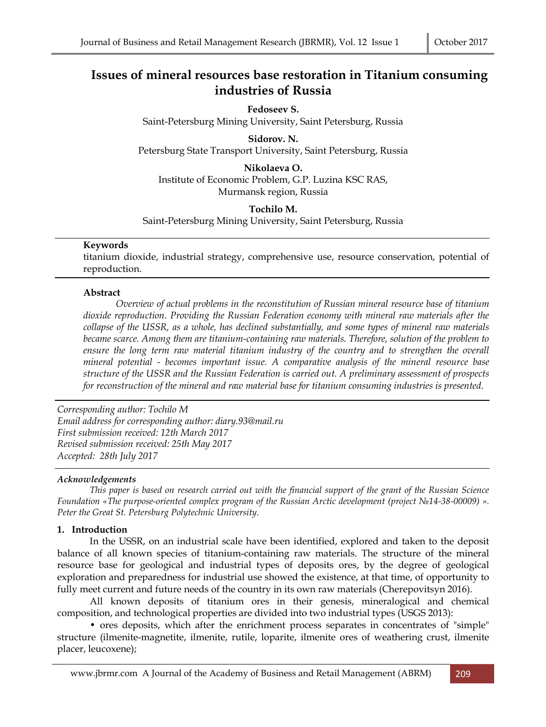# **Issues of mineral resources base restoration in Titanium consuming industries of Russia**

**Fedoseev S.**  Saint-Petersburg Mining University, Saint Petersburg, Russia

**Sidorov. N.**  Petersburg State Transport University, Saint Petersburg, Russia

**Nikolaeva O.** 

Institute of Economic Problem, G.P. Luzina KSC RAS,

# Murmansk region, Russia

**Tochilo M.** Saint-Petersburg Mining University, Saint Petersburg, Russia

# **Keywords**

titanium dioxide, industrial strategy, comprehensive use, resource conservation, potential of reproduction.

# **Abstract**

*Overview of actual problems in the reconstitution of Russian mineral resource base of titanium dioxide reproduction. Providing the Russian Federation economy with mineral raw materials after the collapse of the USSR, as a whole, has declined substantially, and some types of mineral raw materials became scarce. Among them are titanium-containing raw materials. Therefore, solution of the problem to ensure the long term raw material titanium industry of the country and to strengthen the overall mineral potential - becomes important issue. A comparative analysis of the mineral resource base structure of the USSR and the Russian Federation is carried out. A preliminary assessment of prospects for reconstruction of the mineral and raw material base for titanium consuming industries is presented*.

*Corresponding author: Tochilo M Email address for corresponding author: diary.93@mail.ru First submission received: 12th March 2017 Revised submission received: 25th May 2017 Accepted: 28th July 2017*

#### *Acknowledgements*

*This paper is based on research carried out with the financial support of the grant of the Russian Science Foundation «The purpose-oriented complex program of the Russian Arctic development (project №14-38-00009) ». Peter the Great St. Petersburg Polytechnic University.* 

# **1. Introduction**

In the USSR, on an industrial scale have been identified, explored and taken to the deposit balance of all known species of titanium-containing raw materials. The structure of the mineral resource base for geological and industrial types of deposits ores, by the degree of geological exploration and preparedness for industrial use showed the existence, at that time, of opportunity to fully meet current and future needs of the country in its own raw materials (Cherepovitsyn 2016).

All known deposits of titanium ores in their genesis, mineralogical and chemical composition, and technological properties are divided into two industrial types (USGS 2013):

• ores deposits, which after the enrichment process separates in concentrates of "simple" structure (ilmenite-magnetite, ilmenite, rutile, loparite, ilmenite ores of weathering crust, ilmenite placer, leucoxene);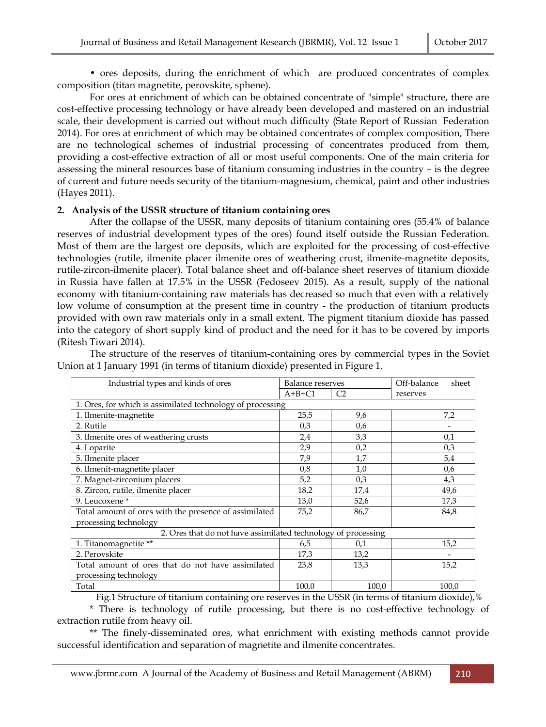• ores deposits, during the enrichment of which are produced concentrates of complex composition (titan magnetite, perovskite, sphene).

For ores at enrichment of which can be obtained concentrate of "simple" structure, there are cost-effective processing technology or have already been developed and mastered on an industrial scale, their development is carried out without much difficulty (State Report of Russian Federation 2014). For ores at enrichment of which may be obtained concentrates of complex composition, There are no technological schemes of industrial processing of concentrates produced from them, providing a cost-effective extraction of all or most useful components. One of the main criteria for assessing the mineral resources base of titanium consuming industries in the country – is the degree of current and future needs security of the titanium-magnesium, chemical, paint and other industries (Hayes 2011).

#### **2. Analysis of the USSR structure of titanium containing ores**

After the collapse of the USSR, many deposits of titanium containing ores (55.4% of balance reserves of industrial development types of the ores) found itself outside the Russian Federation. Most of them are the largest ore deposits, which are exploited for the processing of cost-effective technologies (rutile, ilmenite placer ilmenite ores of weathering crust, ilmenite-magnetite deposits, rutile-zircon-ilmenite placer). Total balance sheet and off-balance sheet reserves of titanium dioxide in Russia have fallen at 17.5% in the USSR (Fedoseev 2015). As a result, supply of the national economy with titanium-containing raw materials has decreased so much that even with a relatively low volume of consumption at the present time in country - the production of titanium products provided with own raw materials only in a small extent. The pigment titanium dioxide has passed into the category of short supply kind of product and the need for it has to be covered by imports (Ritesh Tiwari 2014).

The structure of the reserves of titanium-containing ores by commercial types in the Soviet Union at 1 January 1991 (in terms of titanium dioxide) presented in Figure 1.

| Industrial types and kinds of ores                            | <b>Balance reserves</b> |                | Off-balance<br>sheet |  |
|---------------------------------------------------------------|-------------------------|----------------|----------------------|--|
|                                                               | $A+B+C1$                | C <sub>2</sub> | reserves             |  |
| 1. Ores, for which is assimilated technology of processing    |                         |                |                      |  |
| 1. Ilmenite-magnetite                                         | 25,5                    | 9,6            | 7,2                  |  |
| 2. Rutile                                                     | 0,3                     | 0,6            |                      |  |
| 3. Ilmenite ores of weathering crusts                         | 2,4                     | 3,3            | 0,1                  |  |
| 4. Loparite                                                   | 2,9                     | 0,2            | 0,3                  |  |
| 5. Ilmenite placer                                            | 7,9                     | 1,7            | 5,4                  |  |
| 6. Ilmenit-magnetite placer                                   | 0,8                     | 1,0            | 0,6                  |  |
| 7. Magnet-zirconium placers                                   | 5,2                     | 0,3            | 4,3                  |  |
| 8. Zircon, rutile, ilmenite placer                            | 18,2                    | 17,4           | 49,6                 |  |
| 9. Leucoxene *                                                | 13,0                    | 52,6           | 17,3                 |  |
| Total amount of ores with the presence of assimilated         | 75,2                    | 86,7           | 84,8                 |  |
| processing technology                                         |                         |                |                      |  |
| 2. Ores that do not have assimilated technology of processing |                         |                |                      |  |
| 1. Titanomagnetite **                                         | 6,5                     | 0,1            | 15,2                 |  |
| 2. Perovskite                                                 | 17,3                    | 13,2           |                      |  |
| Total amount of ores that do not have assimilated             | 23,8                    | 13,3           | 15,2                 |  |
| processing technology                                         |                         |                |                      |  |
| Total                                                         | 100,0                   | 100,0          | 100,0                |  |

Fig.1 Structure of titanium containing ore reserves in the USSR (in terms of titanium dioxide),%

\* There is technology of rutile processing, but there is no cost-effective technology of extraction rutile from heavy oil.

\*\* The finely-disseminated ores, what enrichment with existing methods cannot provide successful identification and separation of magnetite and ilmenite concentrates.

www.jbrmr.com A Journal of the Academy of Business and Retail Management (ABRM) 210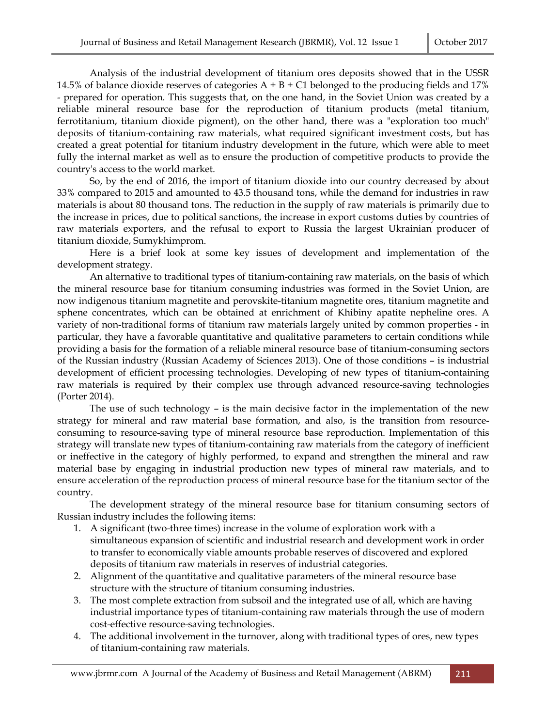Analysis of the industrial development of titanium ores deposits showed that in the USSR 14.5% of balance dioxide reserves of categories  $A + B + C1$  belonged to the producing fields and 17% - prepared for operation. This suggests that, on the one hand, in the Soviet Union was created by a reliable mineral resource base for the reproduction of titanium products (metal titanium, ferrotitanium, titanium dioxide pigment), on the other hand, there was a "exploration too much" deposits of titanium-containing raw materials, what required significant investment costs, but has created a great potential for titanium industry development in the future, which were able to meet fully the internal market as well as to ensure the production of competitive products to provide the country's access to the world market.

So, by the end of 2016, the import of titanium dioxide into our country decreased by about 33% compared to 2015 and amounted to 43.5 thousand tons, while the demand for industries in raw materials is about 80 thousand tons. The reduction in the supply of raw materials is primarily due to the increase in prices, due to political sanctions, the increase in export customs duties by countries of raw materials exporters, and the refusal to export to Russia the largest Ukrainian producer of titanium dioxide, Sumykhimprom.

Here is a brief look at some key issues of development and implementation of the development strategy.

An alternative to traditional types of titanium-containing raw materials, on the basis of which the mineral resource base for titanium consuming industries was formed in the Soviet Union, are now indigenous titanium magnetite and perovskite-titanium magnetite ores, titanium magnetite and sphene concentrates, which can be obtained at enrichment of Khibiny apatite nepheline ores. A variety of non-traditional forms of titanium raw materials largely united by common properties - in particular, they have a favorable quantitative and qualitative parameters to certain conditions while providing a basis for the formation of a reliable mineral resource base of titanium-consuming sectors of the Russian industry (Russian Academy of Sciences 2013). One of those conditions – is industrial development of efficient processing technologies. Developing of new types of titanium-containing raw materials is required by their complex use through advanced resource-saving technologies (Porter 2014).

The use of such technology – is the main decisive factor in the implementation of the new strategy for mineral and raw material base formation, and also, is the transition from resourceconsuming to resource-saving type of mineral resource base reproduction. Implementation of this strategy will translate new types of titanium-containing raw materials from the category of inefficient or ineffective in the category of highly performed, to expand and strengthen the mineral and raw material base by engaging in industrial production new types of mineral raw materials, and to ensure acceleration of the reproduction process of mineral resource base for the titanium sector of the country.

The development strategy of the mineral resource base for titanium consuming sectors of Russian industry includes the following items:

- 1. A significant (two-three times) increase in the volume of exploration work with a simultaneous expansion of scientific and industrial research and development work in order to transfer to economically viable amounts probable reserves of discovered and explored deposits of titanium raw materials in reserves of industrial categories.
- 2. Alignment of the quantitative and qualitative parameters of the mineral resource base structure with the structure of titanium consuming industries.
- 3. The most complete extraction from subsoil and the integrated use of all, which are having industrial importance types of titanium-containing raw materials through the use of modern cost-effective resource-saving technologies.
- 4. The additional involvement in the turnover, along with traditional types of ores, new types of titanium-containing raw materials.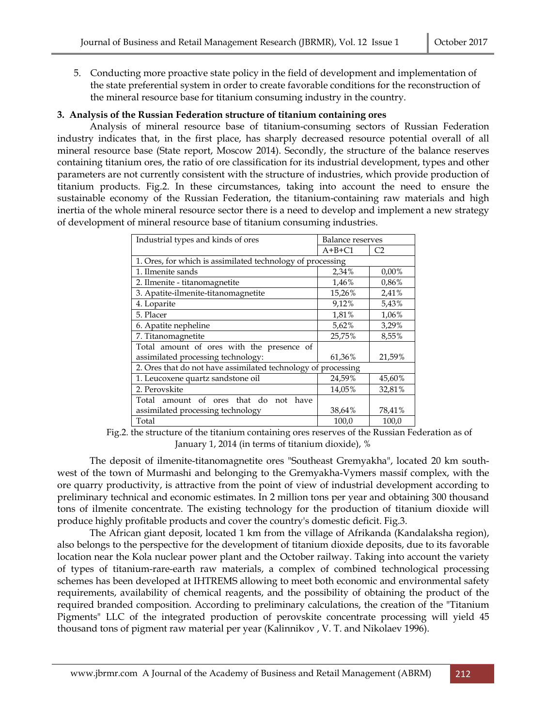5. Conducting more proactive state policy in the field of development and implementation of the state preferential system in order to create favorable conditions for the reconstruction of the mineral resource base for titanium consuming industry in the country.

# **3. Analysis of the Russian Federation structure of titanium containing ores**

Analysis of mineral resource base of titanium-consuming sectors of Russian Federation industry indicates that, in the first place, has sharply decreased resource potential overall of all mineral resource base (State report, Moscow 2014). Secondly, the structure of the balance reserves containing titanium ores, the ratio of ore classification for its industrial development, types and other parameters are not currently consistent with the structure of industries, which provide production of titanium products. Fig.2. In these circumstances, taking into account the need to ensure the sustainable economy of the Russian Federation, the titanium-containing raw materials and high inertia of the whole mineral resource sector there is a need to develop and implement a new strategy of development of mineral resource base of titanium consuming industries.

| Industrial types and kinds of ores                            | Balance reserves |                |  |  |
|---------------------------------------------------------------|------------------|----------------|--|--|
|                                                               | $A+B+C1$         | C <sub>2</sub> |  |  |
| 1. Ores, for which is assimilated technology of processing    |                  |                |  |  |
| 1. Ilmenite sands                                             | 2,34%            | $0.00\%$       |  |  |
| 2. Ilmenite - titanomagnetite                                 | 1,46%            | 0,86%          |  |  |
| 3. Apatite-ilmenite-titanomagnetite                           | 15,26%           | 2,41%          |  |  |
| 4. Loparite                                                   | 9,12%            | 5,43%          |  |  |
| 5. Placer                                                     | 1,81%            | 1,06%          |  |  |
| 6. Apatite nepheline                                          | 5,62%            | 3,29%          |  |  |
| 7. Titanomagnetite                                            | 25,75%           | 8,55%          |  |  |
| Total amount of ores with the presence of                     |                  |                |  |  |
| assimilated processing technology:                            | 61,36%           | 21,59%         |  |  |
| 2. Ores that do not have assimilated technology of processing |                  |                |  |  |
| 1. Leucoxene quartz sandstone oil                             | 24,59%           | 45,60%         |  |  |
| 2. Perovskite                                                 | 14,05%           | 32,81%         |  |  |
| Total amount of ores that do not<br>have                      |                  |                |  |  |
| assimilated processing technology                             | 38,64%           | 78,41%         |  |  |
| Total                                                         | 100,0            | 100,0          |  |  |

Fig.2. the structure of the titanium containing ores reserves of the Russian Federation as of January 1, 2014 (in terms of titanium dioxide), %

The deposit of ilmenite-titanomagnetite ores "Southeast Gremyakha", located 20 km southwest of the town of Murmashi and belonging to the Gremyakha-Vymers massif complex, with the ore quarry productivity, is attractive from the point of view of industrial development according to preliminary technical and economic estimates. In 2 million tons per year and obtaining 300 thousand tons of ilmenite concentrate. The existing technology for the production of titanium dioxide will produce highly profitable products and cover the country's domestic deficit. Fig.3.

The African giant deposit, located 1 km from the village of Afrikanda (Kandalaksha region), also belongs to the perspective for the development of titanium dioxide deposits, due to its favorable location near the Kola nuclear power plant and the October railway. Taking into account the variety of types of titanium-rare-earth raw materials, a complex of combined technological processing schemes has been developed at IHTREMS allowing to meet both economic and environmental safety requirements, availability of chemical reagents, and the possibility of obtaining the product of the required branded composition. According to preliminary calculations, the creation of the "Titanium Pigments" LLC of the integrated production of perovskite concentrate processing will yield 45 thousand tons of pigment raw material per year (Kalinnikov , V. T. and Nikolaev 1996).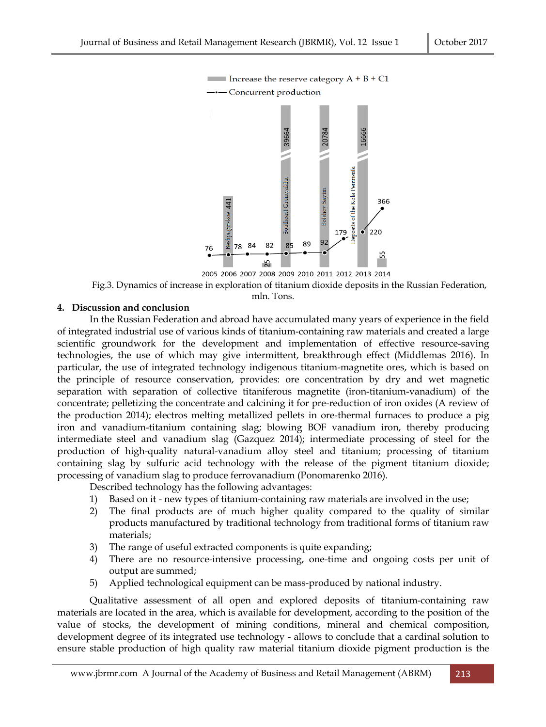

2005 2006 2007 2008 2009 2010 2011 2012 2013 2014 Fig.3. Dynamics of increase in exploration of titanium dioxide deposits in the Russian Federation, mln. Tons.

#### **4. Discussion and conclusion**

In the Russian Federation and abroad have accumulated many years of experience in the field of integrated industrial use of various kinds of titanium-containing raw materials and created a large scientific groundwork for the development and implementation of effective resource-saving technologies, the use of which may give intermittent, breakthrough effect (Middlemas 2016). In particular, the use of integrated technology indigenous titanium-magnetite ores, which is based on the principle of resource conservation, provides: ore concentration by dry and wet magnetic separation with separation of collective titaniferous magnetite (iron-titanium-vanadium) of the concentrate; pelletizing the concentrate and calcining it for pre-reduction of iron oxides (A review of the production 2014); electros melting metallized pellets in ore-thermal furnaces to produce a pig iron and vanadium-titanium containing slag; blowing BOF vanadium iron, thereby producing intermediate steel and vanadium slag (Gazquez 2014); intermediate processing of steel for the production of high-quality natural-vanadium alloy steel and titanium; processing of titanium containing slag by sulfuric acid technology with the release of the pigment titanium dioxide; processing of vanadium slag to produce ferrovanadium (Ponomarenko 2016).

Described technology has the following advantages:

- 1) Based on it new types of titanium-containing raw materials are involved in the use;
- 2) The final products are of much higher quality compared to the quality of similar products manufactured by traditional technology from traditional forms of titanium raw materials;
- 3) The range of useful extracted components is quite expanding;
- 4) There are no resource-intensive processing, one-time and ongoing costs per unit of output are summed;
- 5) Applied technological equipment can be mass-produced by national industry.

Qualitative assessment of all open and explored deposits of titanium-containing raw materials are located in the area, which is available for development, according to the position of the value of stocks, the development of mining conditions, mineral and chemical composition, development degree of its integrated use technology - allows to conclude that a cardinal solution to ensure stable production of high quality raw material titanium dioxide pigment production is the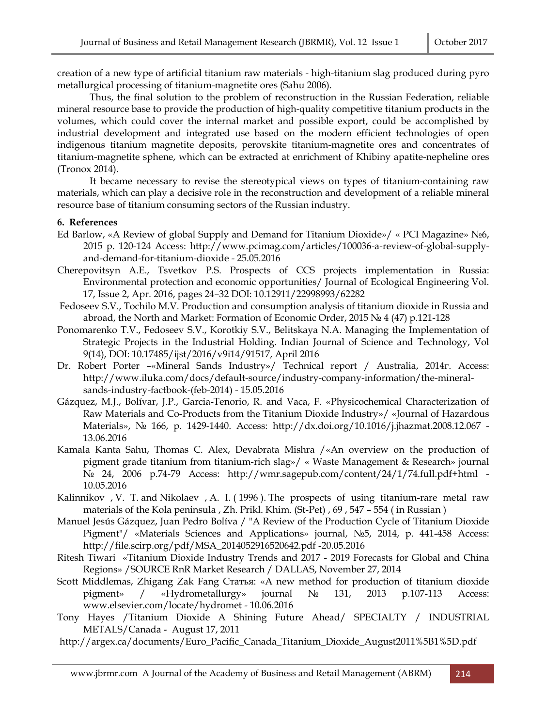creation of a new type of artificial titanium raw materials - high-titanium slag produced during pyro metallurgical processing of titanium-magnetite ores (Sahu 2006).

Thus, the final solution to the problem of reconstruction in the Russian Federation, reliable mineral resource base to provide the production of high-quality competitive titanium products in the volumes, which could cover the internal market and possible export, could be accomplished by industrial development and integrated use based on the modern efficient technologies of open indigenous titanium magnetite deposits, perovskite titanium-magnetite ores and concentrates of titanium-magnetite sphene, which can be extracted at enrichment of Khibiny apatite-nepheline ores (Tronox 2014).

It became necessary to revise the stereotypical views on types of titanium-containing raw materials, which can play a decisive role in the reconstruction and development of a reliable mineral resource base of titanium consuming sectors of the Russian industry.

#### **6. References**

- Ed Barlow, «A Review of global Supply and Demand for Titanium Dioxide»/ « PCI Magazine» №6, 2015 p. 120-124 Access: http://www.pcimag.com/articles/100036-a-review-of-global-supplyand-demand-for-titanium-dioxide - 25.05.2016
- Cherepovitsyn A.E., Tsvetkov P.S. Prospects of CCS projects implementation in Russia: Environmental protection and economic opportunities/ Journal of Ecological Engineering Vol. 17, Issue 2, Apr. 2016, pages 24–32 DOI: 10.12911/22998993/62282
- Fedoseev S.V., Tochilo M.V. Production and consumption analysis of titanium dioxide in Russia and abroad, the North and Market: Formation of Economic Order, 2015 № 4 (47) p.121-128
- Ponomarenko T.V., Fedoseev S.V., Korotkiy S.V., Belitskaya N.A. Managing the Implementation of Strategic Projects in the Industrial Holding. Indian Journal of Science and Technology, Vol 9(14), DOI: 10.17485/ijst/2016/v9i14/91517, April 2016
- Dr. Robert Porter –«Mineral Sands Industry»/ Technical report / Australia, 2014г. Access: http://www.iluka.com/docs/default-source/industry-company-information/the-mineralsands-industry-factbook-(feb-2014) - 15.05.2016
- Gázquez, M.J., Bolívar, J.P., Garcia-Tenorio, R. and Vaca, F. «Physicochemical Characterization of Raw Materials and Co-Products from the Titanium Dioxide Industry»/ «Journal of Hazardous Materials», № 166, p. 1429-1440. Access: http://dx.doi.org/10.1016/j.jhazmat.2008.12.067 - 13.06.2016
- Kamala Kanta Sahu, Thomas C. Alex, Devabrata Mishra /«An overview on the production of pigment grade titanium from titanium-rich slag»/ « Waste Management & Research» journal № 24, 2006 p.74-79 Access: http://wmr.sagepub.com/content/24/1/74.full.pdf+html - 10.05.2016
- Kalinnikov , V. T. and Nikolaev , A. I. ( 1996 ). The prospects of using titanium-rare metal raw materials of the Kola peninsula , Zh. Prikl. Khim. (St-Pet) , 69 , 547 – 554 ( in Russian )
- Manuel Jesús Gázquez, Juan Pedro Bolíva / "A Review of the Production Cycle of Titanium Dioxide Pigment"/ «Materials Sciences and Applications» journal, №5, 2014, p. 441-458 Access: http://file.scirp.org/pdf/MSA\_2014052916520642.pdf -20.05.2016
- Ritesh Tiwari «Titanium Dioxide Industry Trends and 2017 2019 Forecasts for Global and China Regions» /SOURCE RnR Market Research / DALLAS, November 27, 2014
- Scott Middlemas, Zhigang Zak Fang Статья: «A new method for production of titanium dioxide pigment» / «Hydrometallurgy» journal № 131, 2013 p.107-113 Access: www.elsevier.com/locate/hydromet - 10.06.2016
- Tony Hayes /Titanium Dioxide A Shining Future Ahead/ SPECIALTY / INDUSTRIAL METALS/Canada - August 17, 2011
- http://argex.ca/documents/Euro\_Pacific\_Canada\_Titanium\_Dioxide\_August2011%5B1%5D.pdf